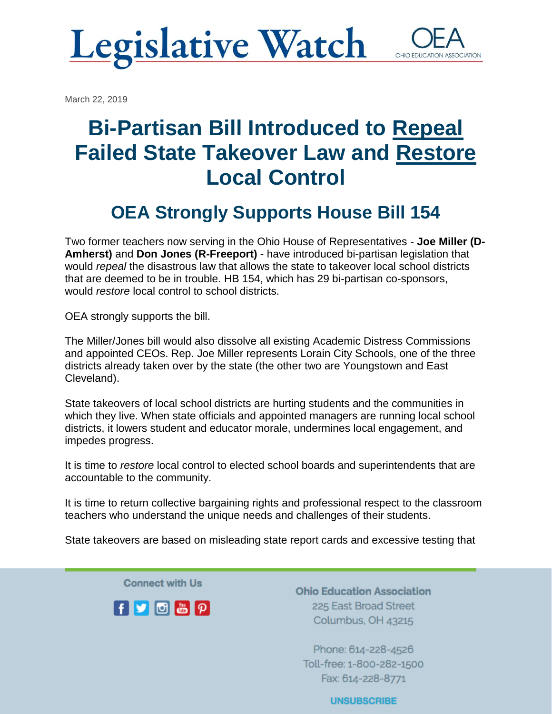## **Legislative Watch** OHIO EDUCATI

March 22, 2019

# **Bi-Partisan Bill Introduced to Repeal Failed State Takeover Law and Restore Local Control**

### **OEA Strongly Supports House Bill 154**

Two former teachers now serving in the Ohio House of Representatives - **Joe Miller (D-Amherst)** and **Don Jones (R-Freeport)** - have introduced bi-partisan legislation that would *repeal* the disastrous law that allows the state to takeover local school districts that are deemed to be in trouble. HB 154, which has 29 bi-partisan co-sponsors, would *restore* local control to school districts.

OEA strongly supports the bill.

The Miller/Jones bill would also dissolve all existing Academic Distress Commissions and appointed CEOs. Rep. Joe Miller represents Lorain City Schools, one of the three districts already taken over by the state (the other two are Youngstown and East Cleveland).

State takeovers of local school districts are hurting students and the communities in which they live. When state officials and appointed managers are running local school districts, it lowers student and educator morale, undermines local engagement, and impedes progress.

It is time to *restore* local control to elected school boards and superintendents that are accountable to the community.

It is time to return collective bargaining rights and professional respect to the classroom teachers who understand the unique needs and challenges of their students.

State takeovers are based on misleading state report cards and excessive testing that

**Connect with Us** 



**Ohio Education Association** 225 East Broad Street Columbus, OH 43215

Phone: 614-228-4526 Toll-free: 1-800-282-1500 Fax: 614-228-8771

**UNSUBSCRIBE**